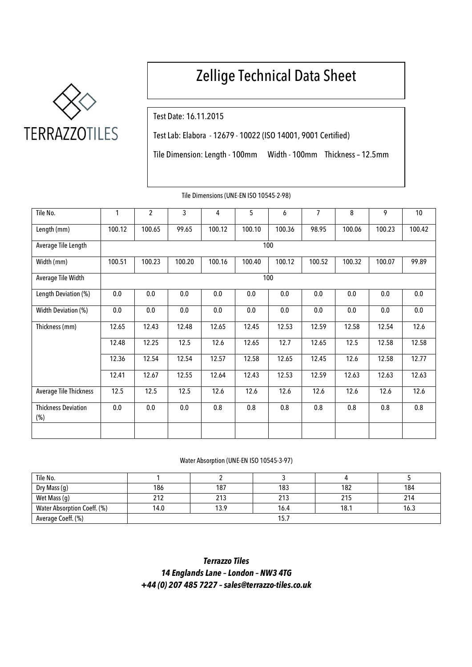

# Zellige Technical Data Sheet

Test Date: 16.11.2015

Test Lab: Elabora - 12679 - 10022 (ISO 14001, 9001 Certified)

Tile Dimension: Length - 100mm Width - 100mm Thickness – 12.5mm

| Tile No.                          | 1      | $\overline{c}$ | 3      | 4      | 5      | 6      | $\overline{7}$ | 8      | 9      | 10     |
|-----------------------------------|--------|----------------|--------|--------|--------|--------|----------------|--------|--------|--------|
| Length (mm)                       | 100.12 | 100.65         | 99.65  | 100.12 | 100.10 | 100.36 | 98.95          | 100.06 | 100.23 | 100.42 |
| Average Tile Length               | 100    |                |        |        |        |        |                |        |        |        |
| Width (mm)                        | 100.51 | 100.23         | 100.20 | 100.16 | 100.40 | 100.12 | 100.52         | 100.32 | 100.07 | 99.89  |
| Average Tile Width                |        | 100            |        |        |        |        |                |        |        |        |
| Length Deviation (%)              | 0.0    | 0.0            | 0.0    | 0.0    | 0.0    | 0.0    | 0.0            | 0.0    | 0.0    | 0.0    |
| Width Deviation (%)               | 0.0    | 0.0            | 0.0    | 0.0    | 0.0    | 0.0    | 0.0            | 0.0    | 0.0    | 0.0    |
| Thickness (mm)                    | 12.65  | 12.43          | 12.48  | 12.65  | 12.45  | 12.53  | 12.59          | 12.58  | 12.54  | 12.6   |
|                                   | 12.48  | 12.25          | 12.5   | 12.6   | 12.65  | 12.7   | 12.65          | 12.5   | 12.58  | 12.58  |
|                                   | 12.36  | 12.54          | 12.54  | 12.57  | 12.58  | 12.65  | 12.45          | 12.6   | 12.58  | 12.77  |
|                                   | 12.41  | 12.67          | 12.55  | 12.64  | 12.43  | 12.53  | 12.59          | 12.63  | 12.63  | 12.63  |
| <b>Average Tile Thickness</b>     | 12.5   | 12.5           | 12.5   | 12.6   | 12.6   | 12.6   | 12.6           | 12.6   | 12.6   | 12.6   |
| <b>Thickness Deviation</b><br>(%) | 0.0    | 0.0            | 0.0    | 0.8    | 0.8    | 0.8    | 0.8            | 0.8    | 0.8    | 0.8    |
|                                   |        |                |        |        |        |        |                |        |        |        |

Tile Dimensions (UNE-EN ISO 10545-2-98)

#### Water Absorption (UNE-EN ISO 10545-3-97)

| Tile No.                    |      |      |      |      |      |  |  |
|-----------------------------|------|------|------|------|------|--|--|
| Dry Mass (g)                | 186  | 187  | 183  | 182  | 184  |  |  |
| Wet Mass (g)                | 212  | 213  | 213  | 215  | 214  |  |  |
| Water Absorption Coeff. (%) | 14.0 | 13.9 | 16.4 | 18.1 | 16.3 |  |  |
| Average Coeff. (%)          | 15.7 |      |      |      |      |  |  |

*Terrazzo Tiles 14 Englands Lane – London – NW3 4TG +44 (0) 207 485 7227 –[sales@terrazzo-tiles.co.uk](mailto:sales@terrazzo-tiles.co.uk)*